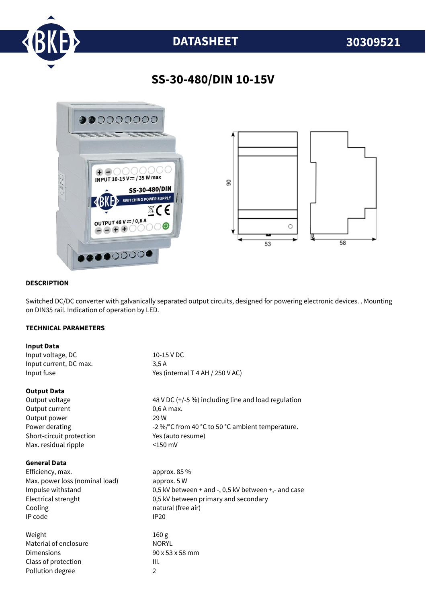

# **DATASHEET 30309521**

## **SS-30-480/DIN 10-15V**



#### **DESCRIPTION**

Switched DC/DC converter with galvanically separated output circuits, designed for powering electronic devices. . Mounting on DIN35 rail. Indication of operation by LED.

#### **TECHNICAL PARAMETERS**

| <b>Input Data</b>              |                                                                |
|--------------------------------|----------------------------------------------------------------|
| Input voltage, DC              | 10-15 V DC                                                     |
| Input current, DC max.         | 3,5A                                                           |
| Input fuse                     | Yes (internal T 4 AH / 250 V AC)                               |
| <b>Output Data</b>             |                                                                |
| Output voltage                 | 48 V DC (+/-5 %) including line and load regulation            |
| Output current                 | 0,6 A max.                                                     |
| Output power                   | 29 W                                                           |
| Power derating                 | -2 %/°C from 40 °C to 50 °C ambient temperature.               |
| Short-circuit protection       | Yes (auto resume)                                              |
| Max. residual ripple           | $<$ 150 mV                                                     |
| <b>General Data</b>            |                                                                |
| Efficiency, max.               | approx. 85 %                                                   |
| Max. power loss (nominal load) | approx. 5 W                                                    |
| Impulse withstand              | 0,5 kV between $+$ and $-$ , 0,5 kV between $+$ , $-$ and case |
| Electrical strenght            | 0,5 kV between primary and secondary                           |
| Cooling                        | natural (free air)                                             |
| IP code                        | <b>IP20</b>                                                    |
| Weight                         | 160 <sub>g</sub>                                               |
| Material of enclosure          | <b>NORYL</b>                                                   |
| Dimensions                     | 90 x 53 x 58 mm                                                |
| Class of protection            | III.                                                           |
| Pollution degree               | $\overline{2}$                                                 |
|                                |                                                                |